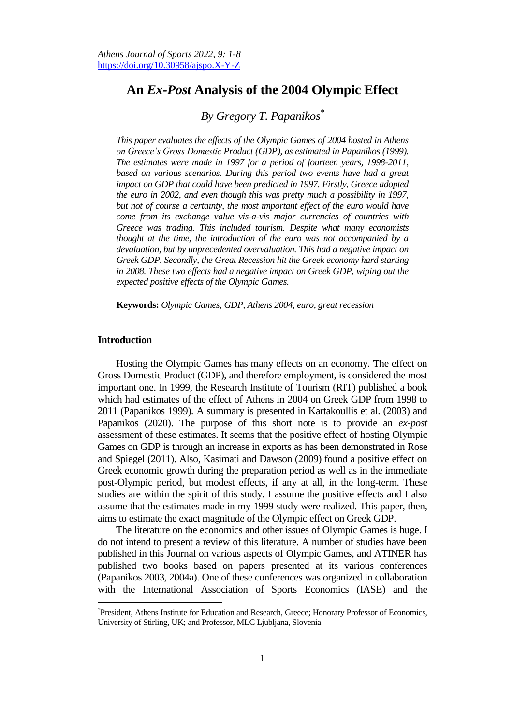# **An** *Ex-Post* **Analysis of the 2004 Olympic Effect**

## *By Gregory T. Papanikos\**

*This paper evaluates the effects of the Olympic Games of 2004 hosted in Athens on Greece's Gross Domestic Product (GDP), as estimated in Papanikos (1999). The estimates were made in 1997 for a period of fourteen years, 1998-2011, based on various scenarios. During this period two events have had a great impact on GDP that could have been predicted in 1997. Firstly, Greece adopted the euro in 2002, and even though this was pretty much a possibility in 1997,*  but not of course a certainty, the most important effect of the euro would have *come from its exchange value vis-a-vis major currencies of countries with Greece was trading. This included tourism. Despite what many economists thought at the time, the introduction of the euro was not accompanied by a devaluation, but by unprecedented overvaluation. This had a negative impact on Greek GDP. Secondly, the Great Recession hit the Greek economy hard starting in 2008. These two effects had a negative impact on Greek GDP, wiping out the expected positive effects of the Olympic Games.*

**Keywords:** *Olympic Games, GDP, Athens 2004, euro, great recession*

## **Introduction**

Hosting the Olympic Games has many effects on an economy. The effect on Gross Domestic Product (GDP), and therefore employment, is considered the most important one. In 1999, the Research Institute of Tourism (RIT) published a book which had estimates of the effect of Athens in 2004 on Greek GDP from 1998 to 2011 (Papanikos 1999). A summary is presented in Kartakoullis et al. (2003) and Papanikos (2020). The purpose of this short note is to provide an *ex-post* assessment of these estimates. It seems that the positive effect of hosting Olympic Games on GDP is through an increase in exports as has been demonstrated in Rose and Spiegel (2011). Also, Kasimati and Dawson (2009) found a positive effect on Greek economic growth during the preparation period as well as in the immediate post-Olympic period, but modest effects, if any at all, in the long-term. These studies are within the spirit of this study. I assume the positive effects and I also assume that the estimates made in my 1999 study were realized. This paper, then, aims to estimate the exact magnitude of the Olympic effect on Greek GDP.

The literature on the economics and other issues of Olympic Games is huge. I do not intend to present a review of this literature. A number of studies have been published in this Journal on various aspects of Olympic Games, and ATINER has published two books based on papers presented at its various conferences (Papanikos 2003, 2004a). One of these conferences was organized in collaboration with the International Association of Sports Economics (IASE) and the

<sup>\*</sup> President, Athens Institute for Education and Research, Greece; Honorary Professor of Economics, University of Stirling, UK; and Professor, MLC Ljubljana, Slovenia.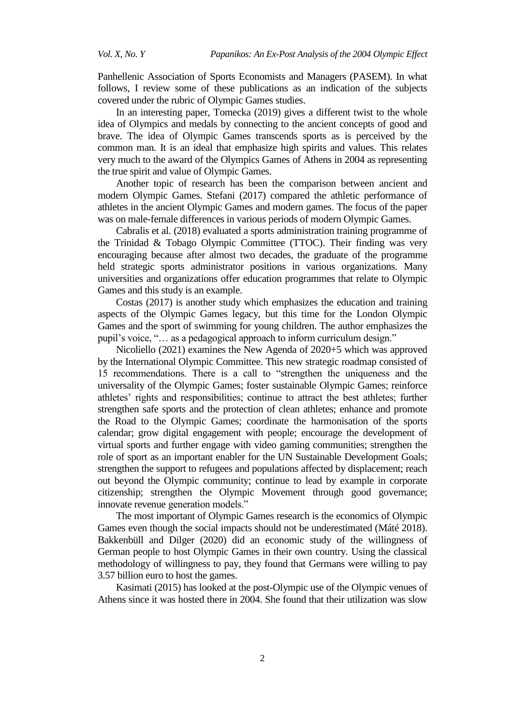Panhellenic Association of Sports Economists and Managers (PASEM). In what follows, I review some of these publications as an indication of the subjects covered under the rubric of Olympic Games studies.

In an interesting paper, Tomecka (2019) gives a different twist to the whole idea of Olympics and medals by connecting to the ancient concepts of good and brave. The idea of Olympic Games transcends sports as is perceived by the common man. It is an ideal that emphasize high spirits and values. This relates very much to the award of the Olympics Games of Athens in 2004 as representing the true spirit and value of Olympic Games.

Another topic of research has been the comparison between ancient and modern Olympic Games. Stefani (2017) compared the athletic performance of athletes in the ancient Olympic Games and modern games. The focus of the paper was on male-female differences in various periods of modern Olympic Games.

Cabralis et al. (2018) evaluated a sports administration training programme of the Trinidad & Tobago Olympic Committee (TTOC). Their finding was very encouraging because after almost two decades, the graduate of the programme held strategic sports administrator positions in various organizations. Many universities and organizations offer education programmes that relate to Olympic Games and this study is an example.

Costas (2017) is another study which emphasizes the education and training aspects of the Olympic Games legacy, but this time for the London Olympic Games and the sport of swimming for young children. The author emphasizes the pupil's voice, "… as a pedagogical approach to inform curriculum design."

Nicoliello (2021) examines the New Agenda of 2020+5 which was approved by the International Olympic Committee. This new strategic roadmap consisted of 15 recommendations. There is a call to "strengthen the uniqueness and the universality of the Olympic Games; foster sustainable Olympic Games; reinforce athletes' rights and responsibilities; continue to attract the best athletes; further strengthen safe sports and the protection of clean athletes; enhance and promote the Road to the Olympic Games; coordinate the harmonisation of the sports calendar; grow digital engagement with people; encourage the development of virtual sports and further engage with video gaming communities; strengthen the role of sport as an important enabler for the UN Sustainable Development Goals; strengthen the support to refugees and populations affected by displacement; reach out beyond the Olympic community; continue to lead by example in corporate citizenship; strengthen the Olympic Movement through good governance; innovate revenue generation models."

The most important of Olympic Games research is the economics of Olympic Games even though the social impacts should not be underestimated (Máté 2018). Bakkenbüll and Dilger (2020) did an economic study of the willingness of German people to host Olympic Games in their own country. Using the classical methodology of willingness to pay, they found that Germans were willing to pay 3.57 billion euro to host the games.

Kasimati (2015) has looked at the post-Olympic use of the Olympic venues of Athens since it was hosted there in 2004. She found that their utilization was slow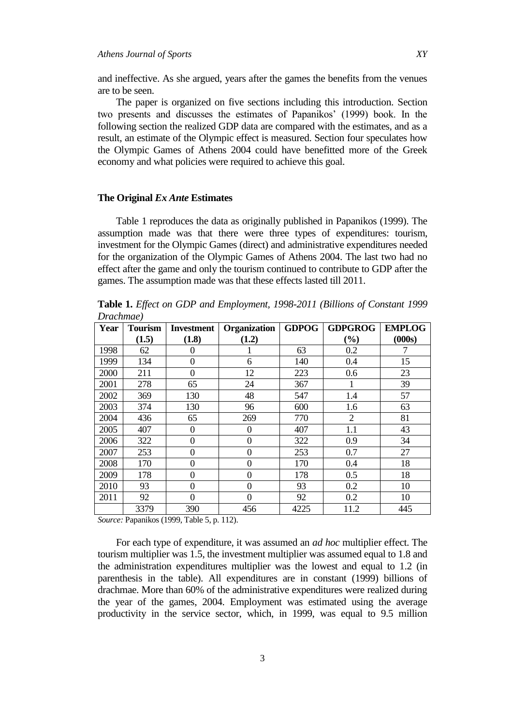and ineffective. As she argued, years after the games the benefits from the venues are to be seen.

The paper is organized on five sections including this introduction. Section two presents and discusses the estimates of Papanikos' (1999) book. In the following section the realized GDP data are compared with the estimates, and as a result, an estimate of the Olympic effect is measured. Section four speculates how the Olympic Games of Athens 2004 could have benefitted more of the Greek economy and what policies were required to achieve this goal.

#### **The Original** *Ex Ante* **Estimates**

Table 1 reproduces the data as originally published in Papanikos (1999). The assumption made was that there were three types of expenditures: tourism, investment for the Olympic Games (direct) and administrative expenditures needed for the organization of the Olympic Games of Athens 2004. The last two had no effect after the game and only the tourism continued to contribute to GDP after the games. The assumption made was that these effects lasted till 2011.

**Table 1.** *Effect on GDP and Employment, 1998-2011 (Billions of Constant 1999 Drachmae)*

| Year | <b>Tourism</b> | <b>Investment</b> | Organization     | <b>GDPOG</b> | <b>GDPGROG</b> | <b>EMPLOG</b> |
|------|----------------|-------------------|------------------|--------------|----------------|---------------|
|      | (1.5)          | (1.8)             | (1.2)            |              | $(\%)$         | (000s)        |
| 1998 | 62             | 0                 |                  | 63           | 0.2            |               |
| 1999 | 134            | 0                 | 6                | 140          | 0.4            | 15            |
| 2000 | 211            | $\overline{0}$    | 12               | 223          | 0.6            | 23            |
| 2001 | 278            | 65                | 24               | 367          |                | 39            |
| 2002 | 369            | 130               | 48               | 547          | 1.4            | 57            |
| 2003 | 374            | 130               | 96               | 600          | 1.6            | 63            |
| 2004 | 436            | 65                | 269              | 770          | 2              | 81            |
| 2005 | 407            | $\boldsymbol{0}$  | $\theta$         | 407          | 1.1            | 43            |
| 2006 | 322            | $\theta$          | $\overline{0}$   | 322          | 0.9            | 34            |
| 2007 | 253            | 0                 | 0                | 253          | 0.7            | 27            |
| 2008 | 170            | $\boldsymbol{0}$  | 0                | 170          | 0.4            | 18            |
| 2009 | 178            | $\theta$          | $\boldsymbol{0}$ | 178          | 0.5            | 18            |
| 2010 | 93             | $\overline{0}$    | $\overline{0}$   | 93           | 0.2            | 10            |
| 2011 | 92             | $\theta$          | $\overline{0}$   | 92           | 0.2            | 10            |
|      | 3379           | 390               | 456              | 4225         | 11.2           | 445           |

*Source:* Papanikos (1999, Table 5, p. 112).

For each type of expenditure, it was assumed an *ad hoc* multiplier effect. The tourism multiplier was 1.5, the investment multiplier was assumed equal to 1.8 and the administration expenditures multiplier was the lowest and equal to 1.2 (in parenthesis in the table). All expenditures are in constant (1999) billions of drachmae. More than 60% of the administrative expenditures were realized during the year of the games, 2004. Employment was estimated using the average productivity in the service sector, which, in 1999, was equal to 9.5 million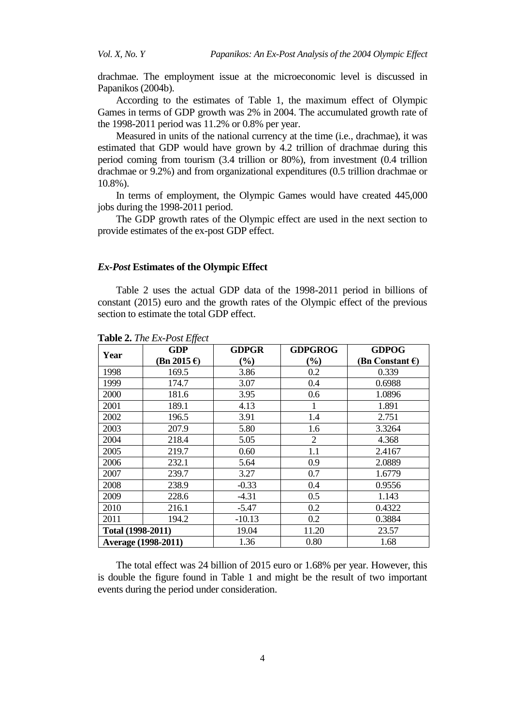drachmae. The employment issue at the microeconomic level is discussed in Papanikos (2004b).

According to the estimates of Table 1, the maximum effect of Olympic Games in terms of GDP growth was 2% in 2004. The accumulated growth rate of the 1998-2011 period was 11.2% or 0.8% per year.

Measured in units of the national currency at the time (i.e., drachmae), it was estimated that GDP would have grown by 4.2 trillion of drachmae during this period coming from tourism (3.4 trillion or 80%), from investment (0.4 trillion drachmae or 9.2%) and from organizational expenditures (0.5 trillion drachmae or 10.8%).

In terms of employment, the Olympic Games would have created 445,000 jobs during the 1998-2011 period.

The GDP growth rates of the Olympic effect are used in the next section to provide estimates of the ex-post GDP effect.

#### *Ex-Post* **Estimates of the Olympic Effect**

Table 2 uses the actual GDP data of the 1998-2011 period in billions of constant (2015) euro and the growth rates of the Olympic effect of the previous section to estimate the total GDP effect.

| Year              | <b>GDP</b>                 | <b>GDPGROG</b><br><b>GDPGR</b> |        | <b>GDPOG</b>              |
|-------------------|----------------------------|--------------------------------|--------|---------------------------|
|                   | $(Bn 2015 \epsilon)$       | $\frac{9}{6}$                  | $(\%)$ | (Bn Constant $\epsilon$ ) |
| 1998              | 169.5                      | 3.86                           | 0.2    | 0.339                     |
| 1999              | 174.7                      | 3.07                           | 0.4    | 0.6988                    |
| 2000              | 181.6                      | 3.95                           | 0.6    | 1.0896                    |
| 2001              | 189.1                      | 4.13                           | 1      | 1.891                     |
| 2002              | 196.5                      | 3.91                           | 1.4    | 2.751                     |
| 2003              | 207.9                      | 5.80                           | 1.6    | 3.3264                    |
| 2004              | 218.4                      | 5.05                           | 2      | 4.368                     |
| 2005              | 219.7                      | 0.60                           | 1.1    | 2.4167                    |
| 2006              | 232.1                      | 5.64                           | 0.9    | 2.0889                    |
| 2007              | 239.7                      | 3.27                           | 0.7    | 1.6779                    |
| 2008              | 238.9                      | $-0.33$                        | 0.4    | 0.9556                    |
| 2009              | 228.6                      | $-4.31$                        | 0.5    | 1.143                     |
| 2010              | 216.1                      | $-5.47$                        | 0.2    | 0.4322                    |
| 2011              | 194.2                      | $-10.13$                       | 0.2    | 0.3884                    |
| Total (1998-2011) |                            | 19.04                          | 11.20  | 23.57                     |
|                   | <b>Average (1998-2011)</b> | 1.36                           | 0.80   | 1.68                      |

**Table 2.** *The Ex-Post Effect*

The total effect was 24 billion of 2015 euro or 1.68% per year. However, this is double the figure found in Table 1 and might be the result of two important events during the period under consideration.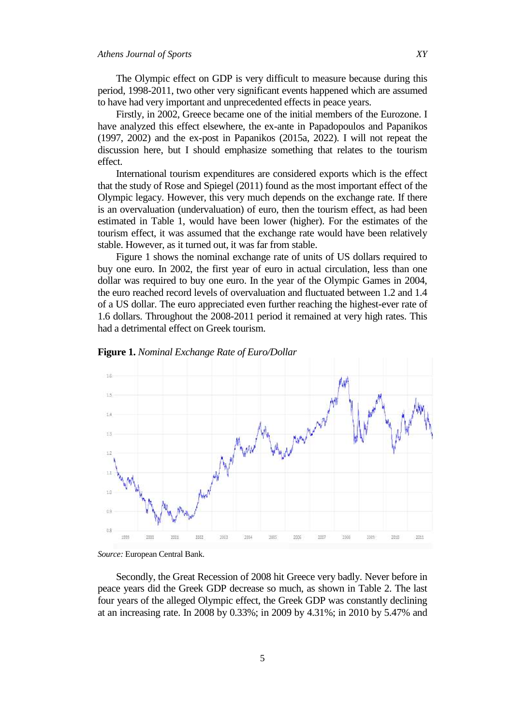The Olympic effect on GDP is very difficult to measure because during this period, 1998-2011, two other very significant events happened which are assumed to have had very important and unprecedented effects in peace years.

Firstly, in 2002, Greece became one of the initial members of the Eurozone. I have analyzed this effect elsewhere, the ex-ante in Papadopoulos and Papanikos (1997, 2002) and the ex-post in Papanikos (2015a, 2022). I will not repeat the discussion here, but I should emphasize something that relates to the tourism effect.

International tourism expenditures are considered exports which is the effect that the study of Rose and Spiegel (2011) found as the most important effect of the Olympic legacy. However, this very much depends on the exchange rate. If there is an overvaluation (undervaluation) of euro, then the tourism effect, as had been estimated in Table 1, would have been lower (higher). For the estimates of the tourism effect, it was assumed that the exchange rate would have been relatively stable. However, as it turned out, it was far from stable.

Figure 1 shows the nominal exchange rate of units of US dollars required to buy one euro. In 2002, the first year of euro in actual circulation, less than one dollar was required to buy one euro. In the year of the Olympic Games in 2004, the euro reached record levels of overvaluation and fluctuated between 1.2 and 1.4 of a US dollar. The euro appreciated even further reaching the highest-ever rate of 1.6 dollars. Throughout the 2008-2011 period it remained at very high rates. This had a detrimental effect on Greek tourism.





Secondly, the Great Recession of 2008 hit Greece very badly. Never before in peace years did the Greek GDP decrease so much, as shown in Table 2. The last four years of the alleged Olympic effect, the Greek GDP was constantly declining at an increasing rate. In 2008 by 0.33%; in 2009 by 4.31%; in 2010 by 5.47% and

*Source:* European Central Bank.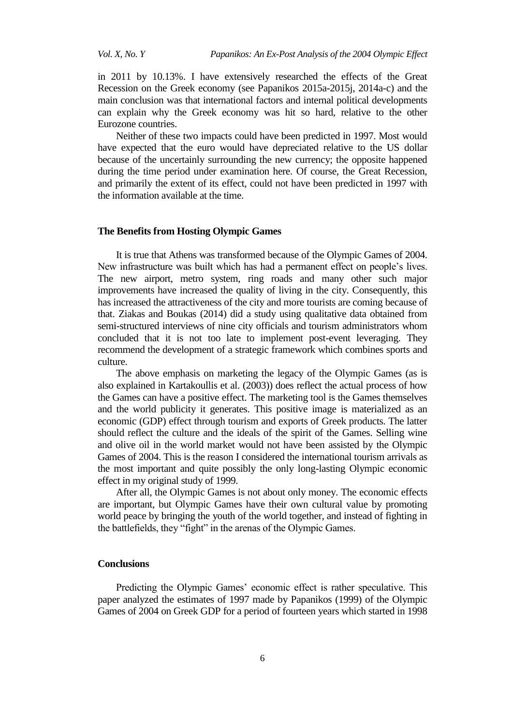in 2011 by 10.13%. I have extensively researched the effects of the Great Recession on the Greek economy (see Papanikos 2015a-2015j, 2014a-c) and the main conclusion was that international factors and internal political developments can explain why the Greek economy was hit so hard, relative to the other Eurozone countries.

Neither of these two impacts could have been predicted in 1997. Most would have expected that the euro would have depreciated relative to the US dollar because of the uncertainly surrounding the new currency; the opposite happened during the time period under examination here. Of course, the Great Recession, and primarily the extent of its effect, could not have been predicted in 1997 with the information available at the time.

#### **The Benefits from Hosting Olympic Games**

It is true that Athens was transformed because of the Olympic Games of 2004. New infrastructure was built which has had a permanent effect on people's lives. The new airport, metro system, ring roads and many other such major improvements have increased the quality of living in the city. Consequently, this has increased the attractiveness of the city and more tourists are coming because of that. Ziakas and Boukas (2014) did a study using qualitative data obtained from semi-structured interviews of nine city officials and tourism administrators whom concluded that it is not too late to implement post-event leveraging. They recommend the development of a strategic framework which combines sports and culture.

The above emphasis on marketing the legacy of the Olympic Games (as is also explained in Kartakoullis et al. (2003)) does reflect the actual process of how the Games can have a positive effect. The marketing tool is the Games themselves and the world publicity it generates. This positive image is materialized as an economic (GDP) effect through tourism and exports of Greek products. The latter should reflect the culture and the ideals of the spirit of the Games. Selling wine and olive oil in the world market would not have been assisted by the Olympic Games of 2004. This is the reason I considered the international tourism arrivals as the most important and quite possibly the only long-lasting Olympic economic effect in my original study of 1999.

After all, the Olympic Games is not about only money. The economic effects are important, but Olympic Games have their own cultural value by promoting world peace by bringing the youth of the world together, and instead of fighting in the battlefields, they "fight" in the arenas of the Olympic Games.

## **Conclusions**

Predicting the Olympic Games' economic effect is rather speculative. This paper analyzed the estimates of 1997 made by Papanikos (1999) of the Olympic Games of 2004 on Greek GDP for a period of fourteen years which started in 1998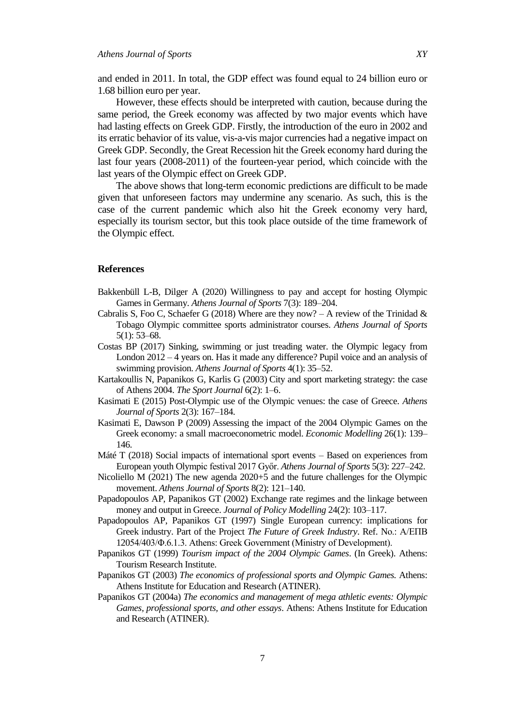and ended in 2011. In total, the GDP effect was found equal to 24 billion euro or 1.68 billion euro per year.

However, these effects should be interpreted with caution, because during the same period, the Greek economy was affected by two major events which have had lasting effects on Greek GDP. Firstly, the introduction of the euro in 2002 and its erratic behavior of its value, vis-a-vis major currencies had a negative impact on Greek GDP. Secondly, the Great Recession hit the Greek economy hard during the last four years (2008-2011) of the fourteen-year period, which coincide with the last years of the Olympic effect on Greek GDP.

The above shows that long-term economic predictions are difficult to be made given that unforeseen factors may undermine any scenario. As such, this is the case of the current pandemic which also hit the Greek economy very hard, especially its tourism sector, but this took place outside of the time framework of the Olympic effect.

## **References**

- Bakkenbüll L-B, Dilger A (2020) Willingness to pay and accept for hosting Olympic Games in Germany. *Athens Journal of Sports* 7(3): 189–204.
- Cabralis S, Foo C, Schaefer G (2018) Where are they now? A review of the Trinidad  $\&$ Tobago Olympic committee sports administrator courses. *Athens Journal of Sports* 5(1): 53–68.
- Costas BP (2017) Sinking, swimming or just treading water. the Olympic legacy from London 2012 – 4 years on. Has it made any difference? Pupil voice and an analysis of swimming provision. *Athens Journal of Sports* 4(1): 35–52.
- Kartakoullis N, Papanikos G, Karlis G (2003) City and sport marketing strategy: the case of Athens 2004. *The Sport Journal* 6(2): 1–6.
- Kasimati E (2015) Post-Olympic use of the Olympic venues: the case of Greece. *Athens Journal of Sports* 2(3): 167–184.
- Kasimati E, Dawson P (2009) Assessing the impact of the 2004 Olympic Games on the Greek economy: a small macroeconometric model. *Economic Modelling* 26(1): 139– 146.
- Máté T (2018) Social impacts of international sport events Based on experiences from European youth Olympic festival 2017 Győr. *Athens Journal of Sports* 5(3): 227–242.
- Nicoliello  $M$  (2021) The new agenda 2020+5 and the future challenges for the Olympic movement. *Athens Journal of Sports* 8(2): 121–140.
- Papadopoulos AP, Papanikos GT (2002) Exchange rate regimes and the linkage between money and output in Greece. *Journal of Policy Modelling* 24(2): 103–117.
- Papadopoulos AP, Papanikos GT (1997) Single European currency: implications for Greek industry. Part of the Project *The Future of Greek Industry*. Ref. No.: Α/ΕΠΒ 12054/403/Φ.6.1.3. Athens: Greek Government (Ministry of Development).
- Papanikos GT (1999) *Tourism impact of the 2004 Olympic Games*. (In Greek). Athens: Tourism Research Institute.
- Papanikos GT (2003) *The economics of professional sports and Olympic Games.* Athens: Athens Institute for Education and Research (ATINER).
- Papanikos GT (2004a) *The economics and management of mega athletic events: Olympic Games, professional sports, and other essays*. Athens: Athens Institute for Education and Research (ATINER).